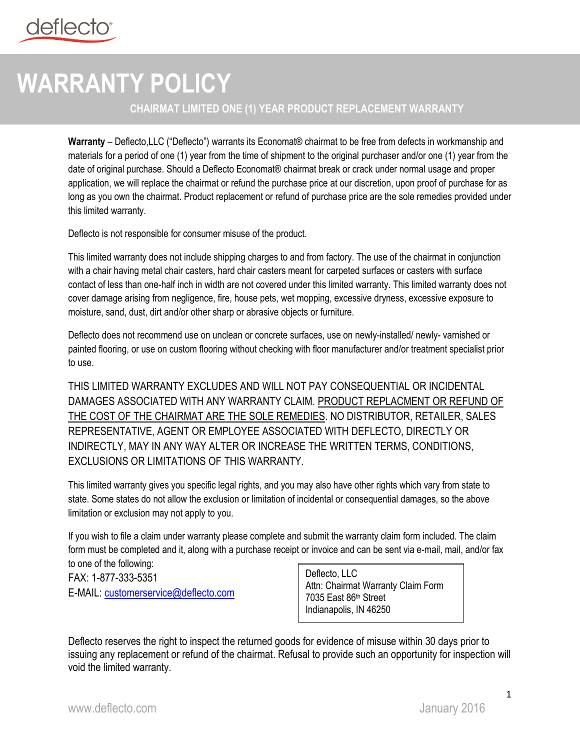## **WARRANTY POLICY**

## **CHAIRMAT LIMITED ONE (1) YEAR PRODUCT REPLACEMENT WARRANTY**

**Warranty** – Deflecto,LLC ("Deflecto") warrants its Economat® chairmat to be free from defects in workmanship and materials for a period of one (1) year from the time of shipment to the original purchaser and/or one (1) year from the date of original purchase. Should a Deflecto Economat® chairmat break or crack under normal usage and proper application, we will replace the chairmat or refund the purchase price at our discretion, upon proof of purchase for as long as you own the chairmat. Product replacement or refund of purchase price are the sole remedies provided under this limited warranty.

Deflecto is not responsible for consumer misuse of the product.

This limited warranty does not include shipping charges to and from factory. The use of the chairmat in conjunction with a chair having metal chair casters, hard chair casters meant for carpeted surfaces or casters with surface contact of less than one-half inch in width are not covered under this limited warranty. This limited warranty does not cover damage arising from negligence, fire, house pets, wet mopping, excessive dryness, excessive exposure to moisture, sand, dust, dirt and/or other sharp or abrasive objects or furniture.

Deflecto does not recommend use on unclean or concrete surfaces, use on newly-installed/ newly- varnished or painted flooring, or use on custom flooring without checking with floor manufacturer and/or treatment specialist prior to use.

THIS LIMITED WARRANTY EXCLUDES AND WILL NOT PAY CONSEQUENTIAL OR INCIDENTAL DAMAGES ASSOCIATED WITH ANY WARRANTY CLAIM. PRODUCT REPLACMENT OR REFUND OF THE COST OF THE CHAIRMAT ARE THE SOLE REMEDIES. NO DISTRIBUTOR, RETAILER, SALES REPRESENTATIVE, AGENT OR EMPLOYEE ASSOCIATED WITH DEFLECTO, DIRECTLY OR INDIRECTLY, MAY IN ANY WAY ALTER OR INCREASE THE WRITTEN TERMS, CONDITIONS, EXCLUSIONS OR LIMITATIONS OF THIS WARRANTY.

This limited warranty gives you specific legal rights, and you may also have other rights which vary from state to state. Some states do not allow the exclusion or limitation of incidental or consequential damages, so the above limitation or exclusion may not apply to you.

If you wish to file a claim under warranty please complete and submit the warranty claim form included. The claim form must be completed and it, along with a purchase receipt or invoice and can be sent via e-mail, mail, and/or fax to one of the following:

FAX: 1-877-333-5351 E-MAIL: [customerservice@deflecto.com](mailto:customerservice@deflecto.com)

Deflecto, LLC Attn: Chairmat Warranty Claim Form 7035 East 86th Street Indianapolis, IN 46250

Deflecto reserves the right to inspect the returned goods for evidence of misuse within 30 days prior to issuing any replacement or refund of the chairmat. Refusal to provide such an opportunity for inspection will void the limited warranty.